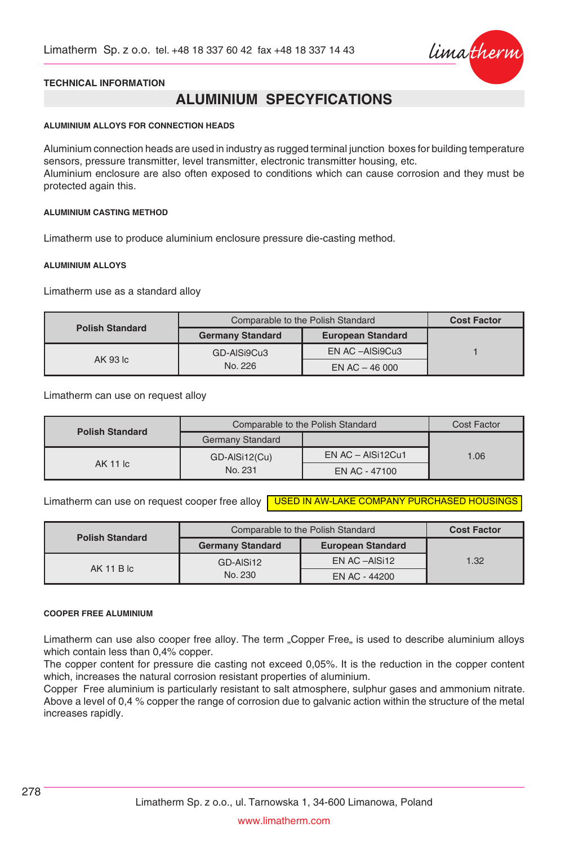

### **TECHNICAL INFORMATION**

# **ALUMINIUM SPECYFICATIONS**

#### **ALUMINIUM ALLOYS FOR CONNECTION HEADS**

Aluminium connection heads are used in industry as rugged terminal junction boxes for building temperature sensors, pressure transmitter, level transmitter, electronic transmitter housing, etc. Aluminium enclosure are also often exposed to conditions which can cause corrosion and they must be protected again this.

#### **ALUMINIUM CASTING METHOD**

Limatherm use to produce aluminium enclosure pressure die-casting method.

#### **ALUMINIUM ALLOYS**

Limatherm use as a standard alloy

| <b>Polish Standard</b> | Comparable to the Polish Standard                   | <b>Cost Factor</b> |  |
|------------------------|-----------------------------------------------------|--------------------|--|
|                        | <b>Germany Standard</b><br><b>European Standard</b> |                    |  |
|                        | GD-AISi9Cu3                                         | EN AC -AISi9Cu3    |  |
| AK 93 lc               | No. 226                                             | EN AC $-46000$     |  |

Limatherm can use on request alloy

| <b>Polish Standard</b> | Comparable to the Polish Standard | Cost Factor             |      |
|------------------------|-----------------------------------|-------------------------|------|
|                        | <b>Germany Standard</b>           |                         |      |
|                        | GD-AISi12(Cu)                     | $EN AC - AIS$ i12 $Cu1$ | 1.06 |
| AK 11 lc               | No. 231                           | EN AC - 47100           |      |

Limatherm can use on request cooper free alloy I<mark>–USED IN AW-LAKE COMPANY PURCHASED HOUSINGS</mark>

|                        | Comparable to the Polish Standard | <b>Cost Factor</b>       |      |
|------------------------|-----------------------------------|--------------------------|------|
| <b>Polish Standard</b> | <b>Germany Standard</b>           | <b>European Standard</b> |      |
| $AK$ 11 B $lc$         | GD-AISi12                         | EN AC -AISi12            | 1.32 |
|                        | No. 230                           | EN AC - 44200            |      |

#### **COOPER FREE ALUMINIUM**

Limatherm can use also cooper free alloy. The term "Copper Free" is used to describe aluminium alloys which contain less than 0,4% copper.

The copper content for pressure die casting not exceed 0,05%. It is the reduction in the copper content which, increases the natural corrosion resistant properties of aluminium.

Copper Free aluminium is particularly resistant to salt atmosphere, sulphur gases and ammonium nitrate. Above a level of 0,4 % copper the range of corrosion due to galvanic action within the structure of the metal increases rapidly.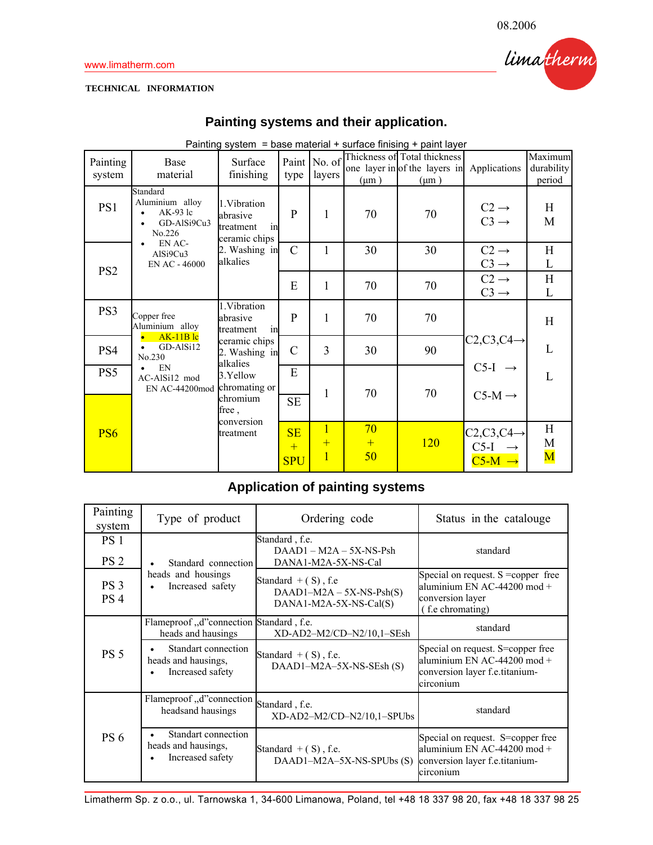### **TECHNICAL INFORMATION**

## **Painting systems and their application.**

|                    | Painting system = base material + surface finising + paint layer   |                                                                             |                         |                                         |                 |                                                                            |                                              |                                   |  |  |  |  |  |  |  |  |  |   |  |  |  |                    |
|--------------------|--------------------------------------------------------------------|-----------------------------------------------------------------------------|-------------------------|-----------------------------------------|-----------------|----------------------------------------------------------------------------|----------------------------------------------|-----------------------------------|--|--|--|--|--|--|--|--|--|---|--|--|--|--------------------|
| Painting<br>system | Base<br>material                                                   | Surface<br>finishing                                                        | Paint<br>type           | No. of<br>layers                        | $(\mu m)$       | Thickness of Total thickness<br>one layer in of the layers in<br>$(\mu m)$ | Applications                                 | Maximum<br>durability<br>period   |  |  |  |  |  |  |  |  |  |   |  |  |  |                    |
| PS1                | Standard<br>Aluminium alloy<br>$AK-93$ lc<br>GD-AlSi9Cu3<br>No.226 | 1. Vibration<br>abrasive<br>treatment<br>in<br>ceramic chips                | P                       | 1                                       | 70              | 70                                                                         | $C2 \rightarrow$<br>$C3 \rightarrow$         | H<br>M                            |  |  |  |  |  |  |  |  |  |   |  |  |  |                    |
| PS <sub>2</sub>    | AlSi9Cu3<br>EN AC - 46000                                          | EN AC-<br>2. Washing in<br>alkalies                                         | $\mathcal{C}$           |                                         | 30              | 30                                                                         | $C2 \rightarrow$<br>$C3 \rightarrow$         | H<br>L                            |  |  |  |  |  |  |  |  |  |   |  |  |  |                    |
|                    |                                                                    |                                                                             | E                       | 1                                       | 70              | 70                                                                         | $C2 \rightarrow$<br>$C3 \rightarrow$         | H<br>L                            |  |  |  |  |  |  |  |  |  |   |  |  |  |                    |
| PS3                | Copper free<br>Aluminium alloy                                     | 1.Vibration<br>abrasive<br>in<br>treatment                                  | $\mathbf{P}$            | 1                                       | 70              | 70                                                                         |                                              | H                                 |  |  |  |  |  |  |  |  |  |   |  |  |  |                    |
| PS4                | GD-AlSi12<br>No.230                                                | $AK-11B$ lc<br>ceramic chips<br>2. Washing in<br>alkalies<br>EN<br>3.Yellow | $\mathcal{C}$           | 3                                       | 30              | 90                                                                         | $C2, C3, C4 \rightarrow$                     | L                                 |  |  |  |  |  |  |  |  |  |   |  |  |  |                    |
| PS5                | $\bullet$<br>AC-AlSi12 mod<br>EN AC-44200mod                       |                                                                             |                         |                                         | chromating or   |                                                                            |                                              |                                   |  |  |  |  |  |  |  |  |  | E |  |  |  | $C5-I \rightarrow$ |
|                    |                                                                    | chromium<br>free,                                                           | <b>SE</b>               | 1                                       | 70              | 70                                                                         | $C5-M \rightarrow$                           |                                   |  |  |  |  |  |  |  |  |  |   |  |  |  |                    |
| PS <sub>6</sub>    |                                                                    | conversion<br>treatment                                                     | SE<br>$+$<br><b>SPU</b> | $\overline{1}$<br>$+$<br>$\overline{1}$ | 70<br>$+$<br>50 | 120                                                                        | $C2, C3, C4 \rightarrow$<br>$C5-I$<br>$C5-M$ | H<br>M<br>$\overline{\mathbf{M}}$ |  |  |  |  |  |  |  |  |  |   |  |  |  |                    |

# **Application of painting systems**

| Painting<br>system                 | Type of product                                                             | Ordering code                                                                 | Status in the catalouge                                                                                             |
|------------------------------------|-----------------------------------------------------------------------------|-------------------------------------------------------------------------------|---------------------------------------------------------------------------------------------------------------------|
| PS <sub>1</sub><br>PS <sub>2</sub> | Standard connection                                                         | Standard, f.e.<br>$DAAD1 - M2A - 5X-NS-Psh$<br>DANA1-M2A-5X-NS-Cal            | standard                                                                                                            |
| PS <sub>3</sub><br>PS <sub>4</sub> | heads and housings<br>Increased safety<br>$\bullet$                         | Standard $+$ (S), f.e<br>$DAAD1-M2A - 5X-NS-Psh(S)$<br>DANA1-M2A-5X-NS-Cal(S) | Special on request. $S = \text{copper}$ free<br>aluminium EN AC-44200 mod +<br>conversion layer<br>(f.e chromating) |
|                                    | Flameproof "d"connection Standard, f.e.<br>heads and hausings               | XD-AD2-M2/CD-N2/10,1-SEsh                                                     | standard                                                                                                            |
| <b>PS 5</b>                        | Standart connection<br>heads and hausings,<br>Increased safety              | Standard $+$ (S), f.e.<br>DAAD1-M2A-5X-NS-SEsh (S)                            | Special on request. S=copper free<br>aluminium EN AC-44200 mod +<br>conversion layer f.e.titanium-<br>circonium     |
|                                    | Flameproof, d"connection<br>headsand hausings                               | Standard, f.e.<br>$XD$ -AD2-M2/CD-N2/10.1-SPUbs                               | standard                                                                                                            |
| <b>PS 6</b>                        | Standart connection<br>heads and hausings,<br>Increased safety<br>$\bullet$ | Standard $+$ (S), f.e.<br>DAAD1-M2A-5X-NS-SPUbs (S)                           | Special on request. S=copper free<br>aluminium EN AC-44200 mod $+$<br>conversion layer f.e.titanium-<br>circonium   |

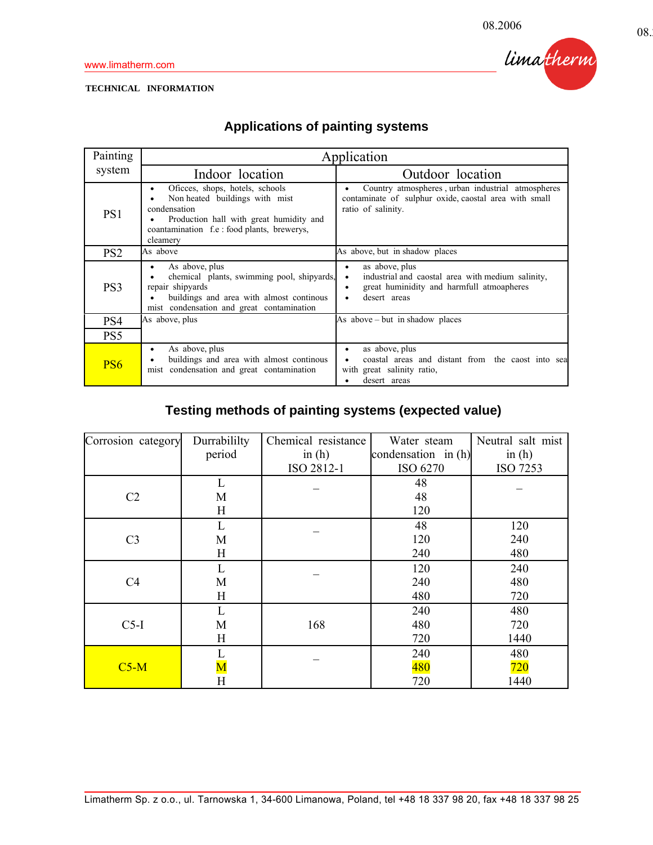limatherm

### **TECHNICAL INFORMATION**

# **Applications of painting systems**

| Painting        | Application                                                                                                                                                                                  |                                                                                                                                                              |  |  |  |  |
|-----------------|----------------------------------------------------------------------------------------------------------------------------------------------------------------------------------------------|--------------------------------------------------------------------------------------------------------------------------------------------------------------|--|--|--|--|
| system          | Indoor location                                                                                                                                                                              | Outdoor location                                                                                                                                             |  |  |  |  |
| PS1             | Oficees, shops, hotels, schools<br>٠<br>Non heated buildings with mist<br>condensation<br>Production hall with great humidity and<br>coantamination f.e : food plants, brewerys,<br>cleamery | Country atmospheres, urban industrial atmospheres<br>٠<br>contaminate of sulphur oxide, caostal area with small<br>ratio of salinity.                        |  |  |  |  |
| PS <sub>2</sub> | As above                                                                                                                                                                                     | As above, but in shadow places                                                                                                                               |  |  |  |  |
| PS <sub>3</sub> | As above, plus<br>٠<br>chemical plants, swimming pool, shipyards,<br>repair shipyards<br>buildings and area with almost continous<br>mist condensation and great contamination               | as above, plus<br>٠<br>industrial and caostal area with medium salinity,<br>٠<br>great huminidity and harmfull atmoapheres<br>$\bullet$<br>desert areas<br>٠ |  |  |  |  |
| PS4             | As above, plus                                                                                                                                                                               | As above – but in shadow places                                                                                                                              |  |  |  |  |
| PS5             |                                                                                                                                                                                              |                                                                                                                                                              |  |  |  |  |
| PS <sub>6</sub> | As above, plus<br>٠<br>buildings and area with almost continous<br>mist condensation and great contamination                                                                                 | as above, plus<br>٠<br>coastal areas and distant from the caost into sea<br>with great salinity ratio,<br>desert areas                                       |  |  |  |  |

# **Testing methods of painting systems (expected value)**

| Corrosion category | Chemical resistance<br>Durrabililty |            | Water steam         | Neutral salt mist |
|--------------------|-------------------------------------|------------|---------------------|-------------------|
|                    | period                              | in $(h)$   | condensation in (h) | in $(h)$          |
|                    |                                     | ISO 2812-1 | ISO 6270            | ISO 7253          |
|                    | L                                   |            | 48                  |                   |
| C <sub>2</sub>     | M                                   |            | 48                  |                   |
|                    | H                                   |            | 120                 |                   |
|                    | L                                   |            | 48                  | 120               |
| C <sub>3</sub>     | M                                   |            | 120                 | 240               |
|                    | H                                   |            | 240                 | 480               |
|                    | L                                   |            | 120                 | 240               |
| C <sub>4</sub>     | M                                   |            | 240                 | 480               |
|                    | H                                   |            | 480                 | 720               |
|                    | L                                   |            | 240                 | 480               |
| $C5-I$             | M                                   | 168        | 480                 | 720               |
|                    | H                                   |            | 720                 | 1440              |
|                    |                                     |            | 240                 | 480               |
| $C5-M$             | $\overline{\text{M}}$               |            | 480                 | 720               |
|                    | $\overline{\mathrm{H}}$             |            | 720                 | 1440              |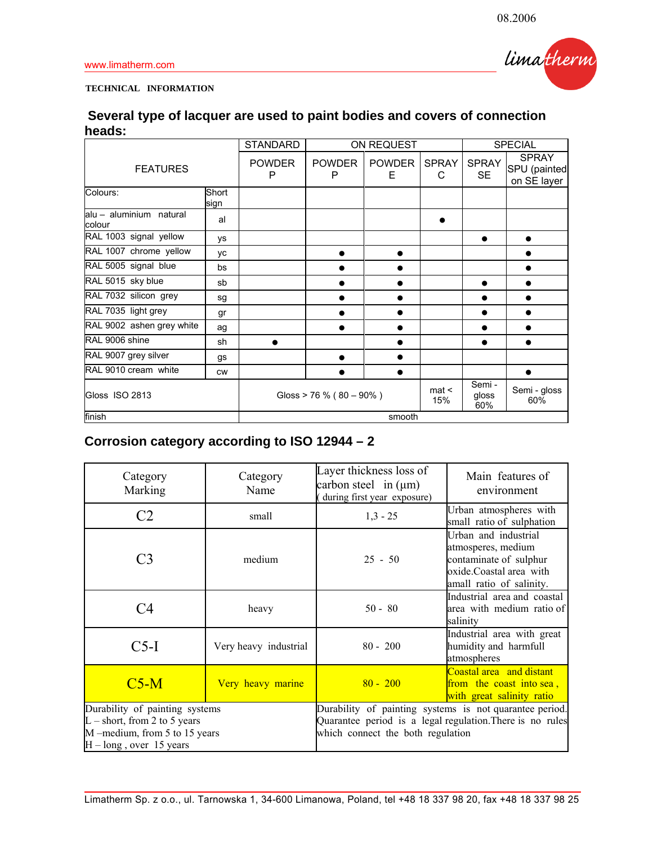

## **TECHNICAL INFORMATION**

| Several type of lacquer are used to paint bodies and covers of connection |  |  |
|---------------------------------------------------------------------------|--|--|
| heads:                                                                    |  |  |

|                                   |               | <b>STANDARD</b><br>ON REQUEST |                             |                    |                   | <b>SPECIAL</b>            |                                             |
|-----------------------------------|---------------|-------------------------------|-----------------------------|--------------------|-------------------|---------------------------|---------------------------------------------|
| <b>FEATURES</b>                   |               | <b>POWDER</b><br>P            | <b>POWDER</b><br>P          | <b>POWDER</b><br>E | <b>SPRAY</b><br>C | <b>SPRAY</b><br><b>SE</b> | <b>SPRAY</b><br>SPU (painted<br>on SE layer |
| Colours:                          | Short<br>sign |                               |                             |                    |                   |                           |                                             |
| alu - aluminium natural<br>colour | al            |                               |                             |                    |                   |                           |                                             |
| RAL 1003 signal yellow            | ys            |                               |                             |                    |                   | $\bullet$                 | $\bullet$                                   |
| RAL 1007 chrome yellow            | <b>VC</b>     |                               |                             |                    |                   |                           |                                             |
| RAL 5005 signal blue              | bs            |                               |                             |                    |                   |                           | ●                                           |
| RAL 5015 sky blue                 | sb            |                               |                             |                    |                   |                           |                                             |
| RAL 7032 silicon grey             | sg            |                               |                             |                    |                   |                           |                                             |
| RAL 7035 light grey               | gr            |                               |                             |                    |                   |                           |                                             |
| RAL 9002 ashen grey white         | ag            |                               |                             |                    |                   |                           |                                             |
| RAL 9006 shine                    | sh            |                               |                             |                    |                   |                           |                                             |
| RAL 9007 grey silver              | gs            |                               |                             |                    |                   |                           |                                             |
| RAL 9010 cream white              | <b>CW</b>     |                               |                             |                    |                   |                           |                                             |
| Gloss ISO 2813                    |               |                               | Gloss > 76 % ( $80 - 90$ %) |                    | mat <<br>15%      | Semi -<br>gloss<br>60%    | Semi - gloss<br>60%                         |
| finish                            |               | smooth                        |                             |                    |                   |                           |                                             |

# **Corrosion category according to ISO 12944 – 2**

| Category<br>Marking                                                                                                             | Category<br>Name      | Layer thickness loss of<br>carbon steel in $(\mu m)$<br>during first year exposure)                                                                       | Main features of<br>environment                                                                                             |
|---------------------------------------------------------------------------------------------------------------------------------|-----------------------|-----------------------------------------------------------------------------------------------------------------------------------------------------------|-----------------------------------------------------------------------------------------------------------------------------|
| C <sub>2</sub>                                                                                                                  | small                 | $1,3 - 25$                                                                                                                                                | Urban atmospheres with<br>small ratio of sulphation                                                                         |
| C3                                                                                                                              | medium                | $25 - 50$                                                                                                                                                 | Urban and industrial<br>atmosperes, medium<br>contaminate of sulphur<br>oxide.Coastal area with<br>amall ratio of salinity. |
| Ω4                                                                                                                              | heavy                 | $50 - 80$                                                                                                                                                 | Industrial area and coastal<br>area with medium ratio of<br>salinity                                                        |
| $C5-I$                                                                                                                          | Very heavy industrial | $80 - 200$                                                                                                                                                | Industrial area with great<br>humidity and harmfull<br>atmospheres                                                          |
| $C5-M$                                                                                                                          | Very heavy marine     | $80 - 200$                                                                                                                                                | Coastal area and distant<br>from the coast into sea,<br>with great salinity ratio                                           |
| Durability of painting systems<br>$L$ – short, from 2 to 5 years<br>M –medium, from 5 to 15 years<br>$H - long$ , over 15 years |                       | Durability of painting systems is not quarantee period.<br>Quarantee period is a legal regulation. There is no rules<br>which connect the both regulation |                                                                                                                             |